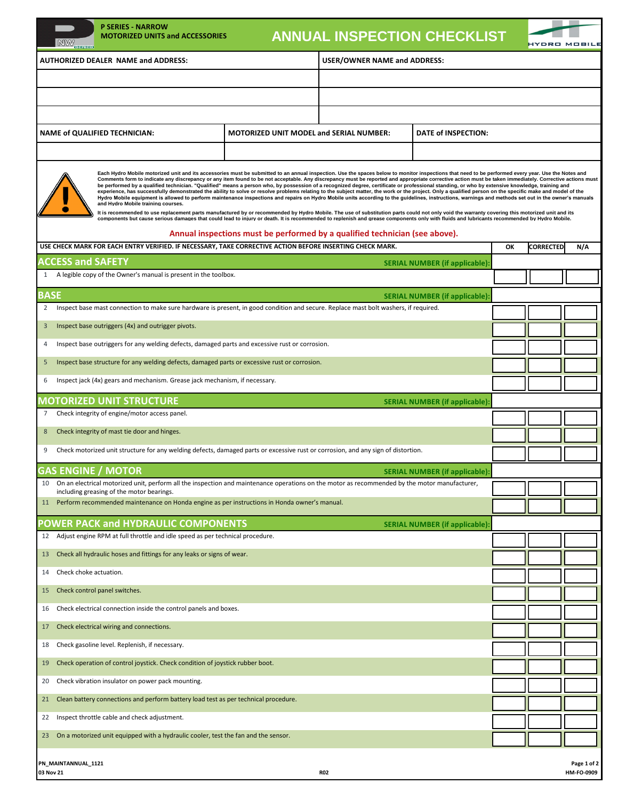| NW<br>81111-8                                                                                                                                                                                                                                                                                                                                                                                                                                                                                                                                                                                                                                                                                                                                                                                                                                                                                                                                                                                                                                                                                                                                                                                                                                                                                                                                                                                                                                                                                                                                                | <b>P SERIES - NARROW</b><br><b>MOTORIZED UNITS and ACCESSORIES</b>                                                                   |                                                | <b>ANNUAL INSPECTION CHECKLIST</b>  |                                      |    |                  | <b>IYDRO MOBILE</b>       |  |
|--------------------------------------------------------------------------------------------------------------------------------------------------------------------------------------------------------------------------------------------------------------------------------------------------------------------------------------------------------------------------------------------------------------------------------------------------------------------------------------------------------------------------------------------------------------------------------------------------------------------------------------------------------------------------------------------------------------------------------------------------------------------------------------------------------------------------------------------------------------------------------------------------------------------------------------------------------------------------------------------------------------------------------------------------------------------------------------------------------------------------------------------------------------------------------------------------------------------------------------------------------------------------------------------------------------------------------------------------------------------------------------------------------------------------------------------------------------------------------------------------------------------------------------------------------------|--------------------------------------------------------------------------------------------------------------------------------------|------------------------------------------------|-------------------------------------|--------------------------------------|----|------------------|---------------------------|--|
| <b>AUTHORIZED DEALER NAME and ADDRESS:</b>                                                                                                                                                                                                                                                                                                                                                                                                                                                                                                                                                                                                                                                                                                                                                                                                                                                                                                                                                                                                                                                                                                                                                                                                                                                                                                                                                                                                                                                                                                                   |                                                                                                                                      |                                                | <b>USER/OWNER NAME and ADDRESS:</b> |                                      |    |                  |                           |  |
|                                                                                                                                                                                                                                                                                                                                                                                                                                                                                                                                                                                                                                                                                                                                                                                                                                                                                                                                                                                                                                                                                                                                                                                                                                                                                                                                                                                                                                                                                                                                                              |                                                                                                                                      |                                                |                                     |                                      |    |                  |                           |  |
|                                                                                                                                                                                                                                                                                                                                                                                                                                                                                                                                                                                                                                                                                                                                                                                                                                                                                                                                                                                                                                                                                                                                                                                                                                                                                                                                                                                                                                                                                                                                                              |                                                                                                                                      |                                                |                                     |                                      |    |                  |                           |  |
|                                                                                                                                                                                                                                                                                                                                                                                                                                                                                                                                                                                                                                                                                                                                                                                                                                                                                                                                                                                                                                                                                                                                                                                                                                                                                                                                                                                                                                                                                                                                                              |                                                                                                                                      |                                                |                                     |                                      |    |                  |                           |  |
|                                                                                                                                                                                                                                                                                                                                                                                                                                                                                                                                                                                                                                                                                                                                                                                                                                                                                                                                                                                                                                                                                                                                                                                                                                                                                                                                                                                                                                                                                                                                                              | <b>NAME of QUALIFIED TECHNICIAN:</b>                                                                                                 | <b>MOTORIZED UNIT MODEL and SERIAL NUMBER:</b> | DATE of INSPECTION:                 |                                      |    |                  |                           |  |
|                                                                                                                                                                                                                                                                                                                                                                                                                                                                                                                                                                                                                                                                                                                                                                                                                                                                                                                                                                                                                                                                                                                                                                                                                                                                                                                                                                                                                                                                                                                                                              |                                                                                                                                      |                                                |                                     |                                      |    |                  |                           |  |
| Each Hydro Mobile motorized unit and its accessories must be submitted to an annual inspection. Use the spaces below to monitor inspections that need to be performed every year. Use the Notes and<br>Comments form to indicate any discrepancy or any item found to be not acceptable. Any discrepancy must be reported and appropriate corrective action must be taken immediately. Corrective actions must<br>be performed by a qualified technician. "Qualified" means a person who, by possession of a recognized degree, certificate or professional standing, or who by extensive knowledge, training and<br>experience, has successfully demonstrated the ability to solve or resolve problems relating to the subject matter, the work or the project. Only a qualified person on the specific make and model of the<br>Hydro Mobile equipment is allowed to perform maintenance inspections and repairs on Hydro Mobile units according to the guidelines, instructions, warnings and methods set out in the owner's manuals<br>and Hydro Mobile training courses.<br>It is recommended to use replacement parts manufactured by or recommended by Hydro Mobile. The use of substitution parts could not only void the warranty covering this motorized unit and its<br>components but cause serious damages that could lead to injury or death. It is recommended to replenish and grease components only with fluids and lubricants recommended by Hydro Mobile.<br>Annual inspections must be performed by a qualified technician (see above). |                                                                                                                                      |                                                |                                     |                                      |    |                  |                           |  |
|                                                                                                                                                                                                                                                                                                                                                                                                                                                                                                                                                                                                                                                                                                                                                                                                                                                                                                                                                                                                                                                                                                                                                                                                                                                                                                                                                                                                                                                                                                                                                              | USE CHECK MARK FOR EACH ENTRY VERIFIED. IF NECESSARY, TAKE CORRECTIVE ACTION BEFORE INSERTING CHECK MARK.                            |                                                |                                     |                                      | ОК | <b>CORRECTED</b> | N/A                       |  |
| <b>ACCESS and SAFETY</b>                                                                                                                                                                                                                                                                                                                                                                                                                                                                                                                                                                                                                                                                                                                                                                                                                                                                                                                                                                                                                                                                                                                                                                                                                                                                                                                                                                                                                                                                                                                                     |                                                                                                                                      |                                                |                                     | <b>SERIAL NUMBER (if applicable)</b> |    |                  |                           |  |
| 1                                                                                                                                                                                                                                                                                                                                                                                                                                                                                                                                                                                                                                                                                                                                                                                                                                                                                                                                                                                                                                                                                                                                                                                                                                                                                                                                                                                                                                                                                                                                                            | A legible copy of the Owner's manual is present in the toolbox.                                                                      |                                                |                                     |                                      |    |                  |                           |  |
| <b>BASE</b>                                                                                                                                                                                                                                                                                                                                                                                                                                                                                                                                                                                                                                                                                                                                                                                                                                                                                                                                                                                                                                                                                                                                                                                                                                                                                                                                                                                                                                                                                                                                                  |                                                                                                                                      |                                                |                                     | <b>SERIAL NUMBER (if applicable)</b> |    |                  |                           |  |
| $\overline{2}$                                                                                                                                                                                                                                                                                                                                                                                                                                                                                                                                                                                                                                                                                                                                                                                                                                                                                                                                                                                                                                                                                                                                                                                                                                                                                                                                                                                                                                                                                                                                               | Inspect base mast connection to make sure hardware is present, in good condition and secure. Replace mast bolt washers, if required. |                                                |                                     |                                      |    |                  |                           |  |
| 3                                                                                                                                                                                                                                                                                                                                                                                                                                                                                                                                                                                                                                                                                                                                                                                                                                                                                                                                                                                                                                                                                                                                                                                                                                                                                                                                                                                                                                                                                                                                                            | Inspect base outriggers (4x) and outrigger pivots.                                                                                   |                                                |                                     |                                      |    |                  |                           |  |
| Inspect base outriggers for any welding defects, damaged parts and excessive rust or corrosion.<br>4                                                                                                                                                                                                                                                                                                                                                                                                                                                                                                                                                                                                                                                                                                                                                                                                                                                                                                                                                                                                                                                                                                                                                                                                                                                                                                                                                                                                                                                         |                                                                                                                                      |                                                |                                     |                                      |    |                  |                           |  |
| Inspect base structure for any welding defects, damaged parts or excessive rust or corrosion.<br>5                                                                                                                                                                                                                                                                                                                                                                                                                                                                                                                                                                                                                                                                                                                                                                                                                                                                                                                                                                                                                                                                                                                                                                                                                                                                                                                                                                                                                                                           |                                                                                                                                      |                                                |                                     |                                      |    |                  |                           |  |
| Inspect jack (4x) gears and mechanism. Grease jack mechanism, if necessary.<br>6                                                                                                                                                                                                                                                                                                                                                                                                                                                                                                                                                                                                                                                                                                                                                                                                                                                                                                                                                                                                                                                                                                                                                                                                                                                                                                                                                                                                                                                                             |                                                                                                                                      |                                                |                                     |                                      |    |                  |                           |  |
|                                                                                                                                                                                                                                                                                                                                                                                                                                                                                                                                                                                                                                                                                                                                                                                                                                                                                                                                                                                                                                                                                                                                                                                                                                                                                                                                                                                                                                                                                                                                                              |                                                                                                                                      |                                                |                                     |                                      |    |                  |                           |  |
| 7                                                                                                                                                                                                                                                                                                                                                                                                                                                                                                                                                                                                                                                                                                                                                                                                                                                                                                                                                                                                                                                                                                                                                                                                                                                                                                                                                                                                                                                                                                                                                            | <b>MOTORIZED UNIT STRUCTURE</b><br>Check integrity of engine/motor access panel.                                                     |                                                |                                     | <b>SERIAL NUMBER (if applicable)</b> |    |                  |                           |  |
| 8                                                                                                                                                                                                                                                                                                                                                                                                                                                                                                                                                                                                                                                                                                                                                                                                                                                                                                                                                                                                                                                                                                                                                                                                                                                                                                                                                                                                                                                                                                                                                            | Check integrity of mast tie door and hinges.                                                                                         |                                                |                                     |                                      |    |                  |                           |  |
| Check motorized unit structure for any welding defects, damaged parts or excessive rust or corrosion, and any sign of distortion.<br>9                                                                                                                                                                                                                                                                                                                                                                                                                                                                                                                                                                                                                                                                                                                                                                                                                                                                                                                                                                                                                                                                                                                                                                                                                                                                                                                                                                                                                       |                                                                                                                                      |                                                |                                     |                                      |    |                  |                           |  |
|                                                                                                                                                                                                                                                                                                                                                                                                                                                                                                                                                                                                                                                                                                                                                                                                                                                                                                                                                                                                                                                                                                                                                                                                                                                                                                                                                                                                                                                                                                                                                              |                                                                                                                                      |                                                |                                     |                                      |    |                  |                           |  |
| <b>GAS ENGINE / MOTOR</b>                                                                                                                                                                                                                                                                                                                                                                                                                                                                                                                                                                                                                                                                                                                                                                                                                                                                                                                                                                                                                                                                                                                                                                                                                                                                                                                                                                                                                                                                                                                                    |                                                                                                                                      |                                                |                                     | <b>SERIAL NUMBER (if applicable)</b> |    |                  |                           |  |
| On an electrical motorized unit, perform all the inspection and maintenance operations on the motor as recommended by the motor manufacturer,<br>10<br>including greasing of the motor bearings.                                                                                                                                                                                                                                                                                                                                                                                                                                                                                                                                                                                                                                                                                                                                                                                                                                                                                                                                                                                                                                                                                                                                                                                                                                                                                                                                                             |                                                                                                                                      |                                                |                                     |                                      |    |                  |                           |  |
| Perform recommended maintenance on Honda engine as per instructions in Honda owner's manual.<br>11                                                                                                                                                                                                                                                                                                                                                                                                                                                                                                                                                                                                                                                                                                                                                                                                                                                                                                                                                                                                                                                                                                                                                                                                                                                                                                                                                                                                                                                           |                                                                                                                                      |                                                |                                     |                                      |    |                  |                           |  |
|                                                                                                                                                                                                                                                                                                                                                                                                                                                                                                                                                                                                                                                                                                                                                                                                                                                                                                                                                                                                                                                                                                                                                                                                                                                                                                                                                                                                                                                                                                                                                              | <b>POWER PACK and HYDRAULIC COMPONENTS</b>                                                                                           |                                                |                                     | <b>SERIAL NUMBER (if applicable)</b> |    |                  |                           |  |
| 12                                                                                                                                                                                                                                                                                                                                                                                                                                                                                                                                                                                                                                                                                                                                                                                                                                                                                                                                                                                                                                                                                                                                                                                                                                                                                                                                                                                                                                                                                                                                                           | Adjust engine RPM at full throttle and idle speed as per technical procedure.                                                        |                                                |                                     |                                      |    |                  |                           |  |
| 13                                                                                                                                                                                                                                                                                                                                                                                                                                                                                                                                                                                                                                                                                                                                                                                                                                                                                                                                                                                                                                                                                                                                                                                                                                                                                                                                                                                                                                                                                                                                                           | Check all hydraulic hoses and fittings for any leaks or signs of wear.                                                               |                                                |                                     |                                      |    |                  |                           |  |
| Check choke actuation.<br>14                                                                                                                                                                                                                                                                                                                                                                                                                                                                                                                                                                                                                                                                                                                                                                                                                                                                                                                                                                                                                                                                                                                                                                                                                                                                                                                                                                                                                                                                                                                                 |                                                                                                                                      |                                                |                                     |                                      |    |                  |                           |  |
| 15                                                                                                                                                                                                                                                                                                                                                                                                                                                                                                                                                                                                                                                                                                                                                                                                                                                                                                                                                                                                                                                                                                                                                                                                                                                                                                                                                                                                                                                                                                                                                           | Check control panel switches.                                                                                                        |                                                |                                     |                                      |    |                  |                           |  |
| Check electrical connection inside the control panels and boxes.<br>16                                                                                                                                                                                                                                                                                                                                                                                                                                                                                                                                                                                                                                                                                                                                                                                                                                                                                                                                                                                                                                                                                                                                                                                                                                                                                                                                                                                                                                                                                       |                                                                                                                                      |                                                |                                     |                                      |    |                  |                           |  |
| Check electrical wiring and connections.<br>17                                                                                                                                                                                                                                                                                                                                                                                                                                                                                                                                                                                                                                                                                                                                                                                                                                                                                                                                                                                                                                                                                                                                                                                                                                                                                                                                                                                                                                                                                                               |                                                                                                                                      |                                                |                                     |                                      |    |                  |                           |  |
| Check gasoline level. Replenish, if necessary.<br>18                                                                                                                                                                                                                                                                                                                                                                                                                                                                                                                                                                                                                                                                                                                                                                                                                                                                                                                                                                                                                                                                                                                                                                                                                                                                                                                                                                                                                                                                                                         |                                                                                                                                      |                                                |                                     |                                      |    |                  |                           |  |
| 19                                                                                                                                                                                                                                                                                                                                                                                                                                                                                                                                                                                                                                                                                                                                                                                                                                                                                                                                                                                                                                                                                                                                                                                                                                                                                                                                                                                                                                                                                                                                                           | Check operation of control joystick. Check condition of joystick rubber boot.                                                        |                                                |                                     |                                      |    |                  |                           |  |
| Check vibration insulator on power pack mounting.<br>20                                                                                                                                                                                                                                                                                                                                                                                                                                                                                                                                                                                                                                                                                                                                                                                                                                                                                                                                                                                                                                                                                                                                                                                                                                                                                                                                                                                                                                                                                                      |                                                                                                                                      |                                                |                                     |                                      |    |                  |                           |  |
|                                                                                                                                                                                                                                                                                                                                                                                                                                                                                                                                                                                                                                                                                                                                                                                                                                                                                                                                                                                                                                                                                                                                                                                                                                                                                                                                                                                                                                                                                                                                                              |                                                                                                                                      |                                                |                                     |                                      |    |                  |                           |  |
| 21                                                                                                                                                                                                                                                                                                                                                                                                                                                                                                                                                                                                                                                                                                                                                                                                                                                                                                                                                                                                                                                                                                                                                                                                                                                                                                                                                                                                                                                                                                                                                           | Clean battery connections and perform battery load test as per technical procedure.                                                  |                                                |                                     |                                      |    |                  |                           |  |
| Inspect throttle cable and check adjustment.<br>22                                                                                                                                                                                                                                                                                                                                                                                                                                                                                                                                                                                                                                                                                                                                                                                                                                                                                                                                                                                                                                                                                                                                                                                                                                                                                                                                                                                                                                                                                                           |                                                                                                                                      |                                                |                                     |                                      |    |                  |                           |  |
| 23                                                                                                                                                                                                                                                                                                                                                                                                                                                                                                                                                                                                                                                                                                                                                                                                                                                                                                                                                                                                                                                                                                                                                                                                                                                                                                                                                                                                                                                                                                                                                           | On a motorized unit equipped with a hydraulic cooler, test the fan and the sensor.                                                   |                                                |                                     |                                      |    |                  |                           |  |
| PN_MAINTANNUAL_1121<br>03 Nov 21                                                                                                                                                                                                                                                                                                                                                                                                                                                                                                                                                                                                                                                                                                                                                                                                                                                                                                                                                                                                                                                                                                                                                                                                                                                                                                                                                                                                                                                                                                                             |                                                                                                                                      |                                                | <b>R02</b>                          |                                      |    |                  | Page 1 of 2<br>HM-FO-0909 |  |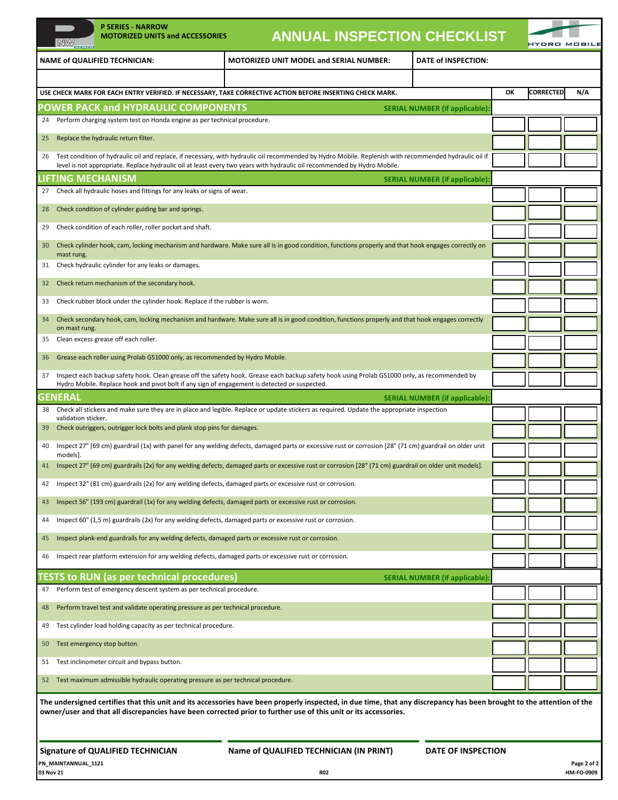|                                                                                                                                                                                                 |                                                                                                                                                                       | <b>P SERIES - NARROW</b><br><b>MOTORIZED UNITS and ACCESSORIES</b>                                                                                                                                                                             |                                                |  | <b>ANNUAL INSPECTION CHECKLIST</b>   |    |                  |                     |
|-------------------------------------------------------------------------------------------------------------------------------------------------------------------------------------------------|-----------------------------------------------------------------------------------------------------------------------------------------------------------------------|------------------------------------------------------------------------------------------------------------------------------------------------------------------------------------------------------------------------------------------------|------------------------------------------------|--|--------------------------------------|----|------------------|---------------------|
|                                                                                                                                                                                                 | NW                                                                                                                                                                    |                                                                                                                                                                                                                                                | <b>MOTORIZED UNIT MODEL and SERIAL NUMBER:</b> |  | DATE of INSPECTION:                  |    |                  | <b>IYDRO MOBILE</b> |
|                                                                                                                                                                                                 |                                                                                                                                                                       | <b>NAME of QUALIFIED TECHNICIAN:</b>                                                                                                                                                                                                           |                                                |  |                                      |    |                  |                     |
|                                                                                                                                                                                                 |                                                                                                                                                                       |                                                                                                                                                                                                                                                |                                                |  |                                      | ОК | <b>CORRECTED</b> | N/A                 |
| USE CHECK MARK FOR EACH ENTRY VERIFIED. IF NECESSARY, TAKE CORRECTIVE ACTION BEFORE INSERTING CHECK MARK.<br><b>POWER PACK and HYDRAULIC COMPONENTS</b><br><b>SERIAL NUMBER (if applicable)</b> |                                                                                                                                                                       |                                                                                                                                                                                                                                                |                                                |  |                                      |    |                  |                     |
| 24                                                                                                                                                                                              |                                                                                                                                                                       | Perform charging system test on Honda engine as per technical procedure.                                                                                                                                                                       |                                                |  |                                      |    |                  |                     |
| 25                                                                                                                                                                                              |                                                                                                                                                                       | Replace the hydraulic return filter.                                                                                                                                                                                                           |                                                |  |                                      |    |                  |                     |
| 26                                                                                                                                                                                              |                                                                                                                                                                       | Test condition of hydraulic oil and replace, if necessary, with hydraulic oil recommended by Hydro Mobile. Replenish with recommended hydraulic oil if                                                                                         |                                                |  |                                      |    |                  |                     |
| level is not appropriate. Replace hydraulic oil at least every two years with hydraulic oil recommended by Hydro Mobile.<br><b>LIFTING MECHANISM</b><br><b>SERIAL NUMBER (if applicable)</b>    |                                                                                                                                                                       |                                                                                                                                                                                                                                                |                                                |  |                                      |    |                  |                     |
| 27                                                                                                                                                                                              |                                                                                                                                                                       | Check all hydraulic hoses and fittings for any leaks or signs of wear.                                                                                                                                                                         |                                                |  |                                      |    |                  |                     |
| 28                                                                                                                                                                                              |                                                                                                                                                                       | Check condition of cylinder guiding bar and springs.                                                                                                                                                                                           |                                                |  |                                      |    |                  |                     |
| 29                                                                                                                                                                                              |                                                                                                                                                                       | Check condition of each roller, roller pocket and shaft.                                                                                                                                                                                       |                                                |  |                                      |    |                  |                     |
| 30                                                                                                                                                                                              |                                                                                                                                                                       | Check cylinder hook, cam, locking mechanism and hardware. Make sure all is in good condition, functions properly and that hook engages correctly on                                                                                            |                                                |  |                                      |    |                  |                     |
| 31                                                                                                                                                                                              | mast rung.                                                                                                                                                            | Check hydraulic cylinder for any leaks or damages.                                                                                                                                                                                             |                                                |  |                                      |    |                  |                     |
| 32                                                                                                                                                                                              |                                                                                                                                                                       | Check return mechanism of the secondary hook.                                                                                                                                                                                                  |                                                |  |                                      |    |                  |                     |
| 33                                                                                                                                                                                              |                                                                                                                                                                       | Check rubber block under the cylinder hook. Replace if the rubber is worn.                                                                                                                                                                     |                                                |  |                                      |    |                  |                     |
| 34                                                                                                                                                                                              |                                                                                                                                                                       | Check secondary hook, cam, locking mechanism and hardware. Make sure all is in good condition, functions properly and that hook engages correctly                                                                                              |                                                |  |                                      |    |                  |                     |
|                                                                                                                                                                                                 | on mast rung.                                                                                                                                                         |                                                                                                                                                                                                                                                |                                                |  |                                      |    |                  |                     |
| 35                                                                                                                                                                                              |                                                                                                                                                                       | Clean excess grease off each roller.                                                                                                                                                                                                           |                                                |  |                                      |    |                  |                     |
| 36                                                                                                                                                                                              |                                                                                                                                                                       | Grease each roller using Prolab GS1000 only, as recommended by Hydro Mobile.                                                                                                                                                                   |                                                |  |                                      |    |                  |                     |
| 37                                                                                                                                                                                              |                                                                                                                                                                       | Inspect each backup safety hook. Clean grease off the safety hook. Grease each backup safety hook using Prolab GS1000 only, as recommended by<br>Hydro Mobile. Replace hook and pivot bolt if any sign of engagement is detected or suspected. |                                                |  |                                      |    |                  |                     |
| <b>GENERAL</b>                                                                                                                                                                                  |                                                                                                                                                                       |                                                                                                                                                                                                                                                |                                                |  | <b>SERIAL NUMBER (if applicable)</b> |    |                  |                     |
| 38                                                                                                                                                                                              | validation sticker.                                                                                                                                                   | Check all stickers and make sure they are in place and legible. Replace or update stickers as required. Update the appropriate inspection                                                                                                      |                                                |  |                                      |    |                  |                     |
| 39                                                                                                                                                                                              |                                                                                                                                                                       | Check outriggers, outrigger lock bolts and plank stop pins for damages.                                                                                                                                                                        |                                                |  |                                      |    |                  |                     |
| 40                                                                                                                                                                                              | models].                                                                                                                                                              | Inspect 27" (69 cm) guardrail (1x) with panel for any welding defects, damaged parts or excessive rust or corrosion [28" (71 cm) guardrail on older unit                                                                                       |                                                |  |                                      |    |                  |                     |
|                                                                                                                                                                                                 |                                                                                                                                                                       | 41 Inspect 27" (69 cm) guardrails (2x) for any welding defects, damaged parts or excessive rust or corrosion [28" (71 cm) guardrail on older unit models].                                                                                     |                                                |  |                                      |    |                  |                     |
| 42                                                                                                                                                                                              |                                                                                                                                                                       | Inspect 32" (81 cm) guardrails (2x) for any welding defects, damaged parts or excessive rust or corrosion.                                                                                                                                     |                                                |  |                                      |    |                  |                     |
| 43                                                                                                                                                                                              |                                                                                                                                                                       | Inspect 56" (193 cm) guardrail (1x) for any welding defects, damaged parts or excessive rust or corrosion.                                                                                                                                     |                                                |  |                                      |    |                  |                     |
| 44                                                                                                                                                                                              |                                                                                                                                                                       | Inspect 60" $(1,5, m)$ guardrails $(2x)$ for any welding defects, damaged parts or excessive rust or corrosion.                                                                                                                                |                                                |  |                                      |    |                  |                     |
| 45                                                                                                                                                                                              |                                                                                                                                                                       | Inspect plank-end guardrails for any welding defects, damaged parts or excessive rust or corrosion.                                                                                                                                            |                                                |  |                                      |    |                  |                     |
| 46                                                                                                                                                                                              |                                                                                                                                                                       | Inspect rear platform extension for any welding defects, damaged parts or excessive rust or corrosion.                                                                                                                                         |                                                |  |                                      |    |                  |                     |
|                                                                                                                                                                                                 |                                                                                                                                                                       | TESTS to RUN (as per technical procedures)                                                                                                                                                                                                     |                                                |  | <b>SERIAL NUMBER (if applicable)</b> |    |                  |                     |
| 47                                                                                                                                                                                              |                                                                                                                                                                       | Perform test of emergency descent system as per technical procedure.                                                                                                                                                                           |                                                |  |                                      |    |                  |                     |
| 48                                                                                                                                                                                              |                                                                                                                                                                       | Perform travel test and validate operating pressure as per technical procedure.                                                                                                                                                                |                                                |  |                                      |    |                  |                     |
| 49                                                                                                                                                                                              |                                                                                                                                                                       | Test cylinder load holding capacity as per technical procedure.                                                                                                                                                                                |                                                |  |                                      |    |                  |                     |
| 50                                                                                                                                                                                              |                                                                                                                                                                       | Test emergency stop button.                                                                                                                                                                                                                    |                                                |  |                                      |    |                  |                     |
| 51                                                                                                                                                                                              |                                                                                                                                                                       | Test inclinometer circuit and bypass button.                                                                                                                                                                                                   |                                                |  |                                      |    |                  |                     |
| 52                                                                                                                                                                                              |                                                                                                                                                                       | Test maximum admissible hydraulic operating pressure as per technical procedure.                                                                                                                                                               |                                                |  |                                      |    |                  |                     |
|                                                                                                                                                                                                 | The undersigned certifies that this unit and its accessories have been properly inspected, in due time, that any discrepancy has been brought to the attention of the |                                                                                                                                                                                                                                                |                                                |  |                                      |    |                  |                     |
| owner/user and that all discrepancies have been corrected prior to further use of this unit or its accessories.                                                                                 |                                                                                                                                                                       |                                                                                                                                                                                                                                                |                                                |  |                                      |    |                  |                     |
|                                                                                                                                                                                                 |                                                                                                                                                                       |                                                                                                                                                                                                                                                |                                                |  |                                      |    |                  |                     |
|                                                                                                                                                                                                 |                                                                                                                                                                       | <b>Signature of QUALIFIED TECHNICIAN</b>                                                                                                                                                                                                       | Name of QUALIFIED TECHNICIAN (IN PRINT)        |  | DATE OF INSPECTION                   |    |                  |                     |
|                                                                                                                                                                                                 | PN_MAINTANNUAL_1121                                                                                                                                                   |                                                                                                                                                                                                                                                |                                                |  |                                      |    |                  | Page 2 of 2         |